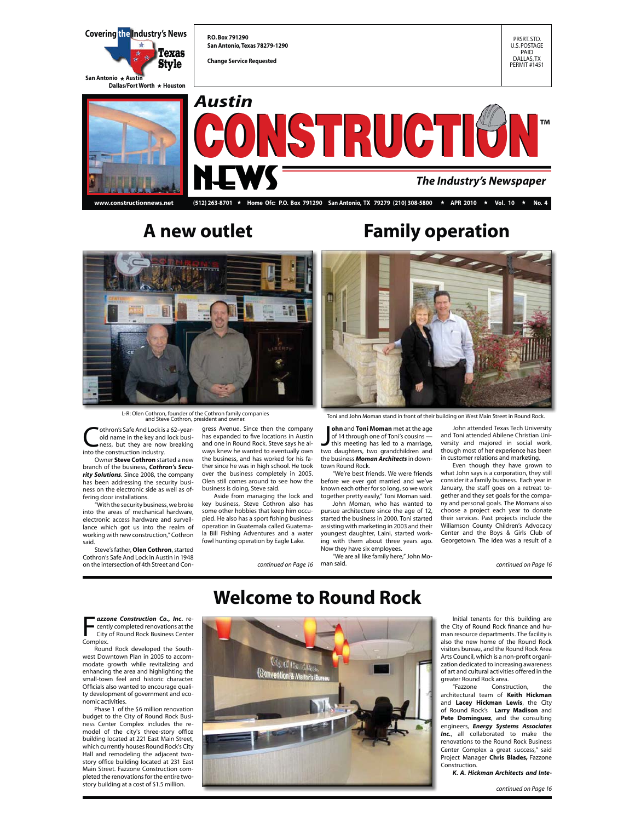

**www.constructionnews.net (512) 263-8701** E **Home Ofc: P.O. Box 791290 San Antonio, TX 79279 (210) 308-5800** E **APR 2010** E **Vol. 10** E **No. 4**



L-R: Olen Cothron, founder of the Cothron family companies and Steve Cothron, president and owner.

**Cothron's Safe And Lock is a 62-year-old name in the key and lock business, but they are now breaking** old name in the key and lock business, but they are now breaking into the construction industry.

 Owner **Steve Cothron** started a new branch of the business, *Cothron's Security Solutions*. Since 2008, the company has been addressing the security business on the electronic side as well as of-

fering door installations. "With the security business, we broke into the areas of mechanical hardware, electronic access hardware and surveillance which got us into the realm of working with new construction," Cothron said.

 Steve's father, **Olen Cothron**, started Cothron's Safe And Lock in Austin in 1948 on the intersection of 4th Street and Con-

gress Avenue. Since then the company has expanded to five locations in Austin and one in Round Rock. Steve says he always knew he wanted to eventually own the business, and has worked for his father since he was in high school. He took over the business completely in 2005. Olen still comes around to see how the

business is doing, Steve said. Aside from managing the lock and key business, Steve Cothron also has some other hobbies that keep him occupied. He also has a sport fishing business operation in Guatemala called Guatemala Bill Fishing Adventures and a water fowl hunting operation by Eagle Lake.

## **A new outlet Family operation**



Toni and John Moman stand in front of their building on West Main Street in Round Rock.

**John and Toni Moman** met at the age<br>of 14 through one of Toni's cousins —<br>this meeting has led to a marriage,<br>two daughters, two grandchildren and **ohn** and **Toni Moman** met at the age of 14 through one of Toni's cousins this meeting has led to a marriage, the business *Moman Architects* in downtown Round Rock.

 "We're best friends. We were friends before we ever got married and we've known each other for so long, so we work together pretty easily," Toni Moman said.

 John Moman, who has wanted to pursue architecture since the age of 12, started the business in 2000. Toni started assisting with marketing in 2003 and their youngest daughter, Laini, started working with them about three years ago. Now they have six employees.

*continued on Page 16 continued on Page 16* man said. "We are all like family here," John Mo-

 John attended Texas Tech University and Toni attended Abilene Christian University and majored in social work, though most of her experience has been in customer relations and marketing.

Even though they have grown to what John says is a corporation, they still consider it a family business. Each year in January, the staff goes on a retreat together and they set goals for the company and personal goals. The Momans also choose a project each year to donate their services. Past projects include the Wiliamson County Children's Advocacy Center and the Boys & Girls Club of Georgetown. The idea was a result of a

**F** centl<br>City<br>Complex. *azzone Construction Co., Inc.* recently completed renovations at the City of Round Rock Business Center

 Round Rock developed the Southwest Downtown Plan in 2005 to accommodate growth while revitalizing and enhancing the area and highlighting the small-town feel and historic character. Officials also wanted to encourage quality development of government and economic activities.

 Phase 1 of the \$6 million renovation budget to the City of Round Rock Busi-ness Center Complex includes the remodel of the city's three-story office building located at 221 East Main Street, which currently houses Round Rock's City Hall and remodeling the adjacent two-story office building located at 231 East Main Street. Fazzone Construction completed the renovations for the entire twostory building at a cost of \$1.5 million.

## **Welcome to Round Rock**



 Initial tenants for this building are the City of Round Rock finance and human resource departments. The facility is also the new home of the Round Rock visitors bureau, and the Round Rock Area Arts Council, which is a non-profit organization dedicated to increasing awareness of art and cultural activities offered in the greater Round Rock area.<br>"Eazzone Consti

Construction, the architectural team of **Keith Hickman** and **Lacey Hickman Lewis**, the City of Round Rock's **Larry Madison** and **Pete Dominguez**, and the consulting engineers, *Energy Systems Associates*  Inc., all collaborated to make the renovations to the Round Rock Business Center Complex a great success," said Project Manager **Chris Blades,** Fazzone Construction.

*K. A. Hickman Architects and Inte-*